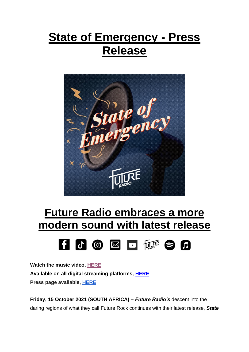## **State of Emergency - Press Release**



## **Future Radio embraces a more modern sound with latest release**



**Watch the music video, [HERE](https://youtu.be/Rk83Hb_9cpQ) Available on all digital streaming platforms, [HERE](https://distrokid.com/hyperfollow/futureradio/state-of-emergency) Press page available, [HERE](https://futureradioband.co.za/press-3/)**

**Friday, 15 October 2021 (SOUTH AFRICA) –** *Future Radio's* descent into the daring regions of what they call Future Rock continues with their latest release, *State*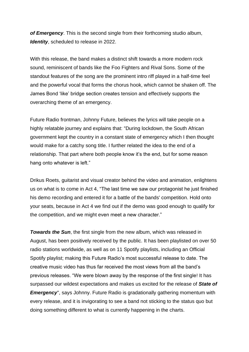*of Emergency*. This is the second single from their forthcoming studio album, *Identity*, scheduled to release in 2022.

With this release, the band makes a distinct shift towards a more modern rock sound, reminiscent of bands like the Foo Fighters and Rival Sons. Some of the standout features of the song are the prominent intro riff played in a half-time feel and the powerful vocal that forms the chorus hook, which cannot be shaken off. The James Bond 'like' bridge section creates tension and effectively supports the overarching theme of an emergency.

Future Radio frontman, Johnny Future, believes the lyrics will take people on a highly relatable journey and explains that: "During lockdown, the South African government kept the country in a constant state of emergency which I then thought would make for a catchy song title. I further related the idea to the end of a relationship. That part where both people know it's the end, but for some reason hang onto whatever is left."

Drikus Roets, guitarist and visual creator behind the video and animation, enlightens us on what is to come in Act 4, "The last time we saw our protagonist he just finished his demo recording and entered it for a battle of the bands' competition. Hold onto your seats, because in Act 4 we find out if the demo was good enough to qualify for the competition, and we might even meet a new character."

*Towards the Sun*, the first single from the new album, which was released in August, has been positively received by the public. It has been playlisted on over 50 radio stations worldwide, as well as on 11 Spotify playlists, including an Official Spotify playlist; making this Future Radio's most successful release to date. The creative music video has thus far received the most views from all the band's previous releases. "We were blown away by the response of the first single! It has surpassed our wildest expectations and makes us excited for the release of *State of Emergency*", says Johnny. Future Radio is gradationally gathering momentum with every release, and it is invigorating to see a band not sticking to the status quo but doing something different to what is currently happening in the charts.